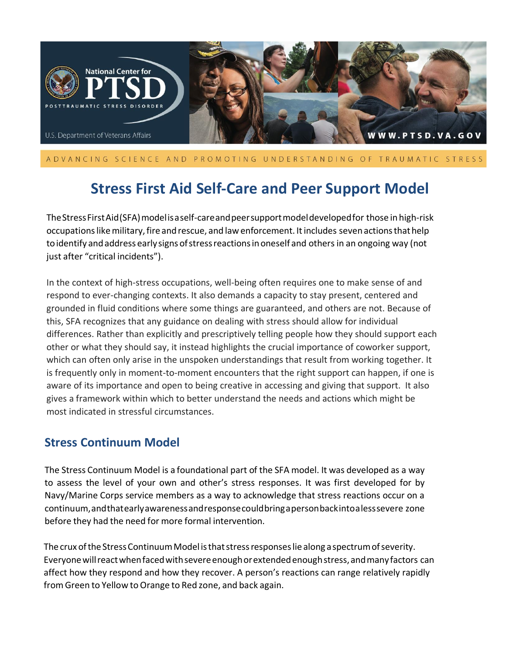

### ADVANCING SCIENCE AND PROMOTING UNDERSTANDING OF TRAUMATIC STRESS

# **Stress First Aid Self-Care and Peer Support Model**

TheStressFirstAid(SFA)modelisaself-careandpeersupportmodeldevelopedfor those in high-risk occupationslikemilitary,fire andrescue, and lawenforcement. Itincludes sevenactionsthathelp to identify and address early signs of stress reactions in oneself and others in an ongoing way (not just after "critical incidents").

In the context of high-stress occupations, well-being often requires one to make sense of and respond to ever-changing contexts. It also demands a capacity to stay present, centered and grounded in fluid conditions where some things are guaranteed, and others are not. Because of this, SFA recognizes that any guidance on dealing with stress should allow for individual differences. Rather than explicitly and prescriptively telling people how they should support each other or what they should say, it instead highlights the crucial importance of coworker support, which can often only arise in the unspoken understandings that result from working together. It is frequently only in moment-to-moment encounters that the right support can happen, if one is aware of its importance and open to being creative in accessing and giving that support. It also gives a framework within which to better understand the needs and actions which might be most indicated in stressful circumstances.

## **Stress Continuum Model**

The Stress Continuum Model is a foundational part of the SFA model. It was developed as a way to assess the level of your own and other's stress responses. It was first developed for by Navy/Marine Corps service members as a way to acknowledge that stress reactions occur on a continuum,andthatearlyawarenessandresponsecouldbringapersonbackintoalesssevere zone before they had the need for more formal intervention.

The crux of the Stress Continuum Model is that stress responses lie along a spectrum of severity. Everyonewillreactwhenfacedwithsevereenoughorextendedenoughstress,andmanyfactors can affect how they respond and how they recover. A person's reactions can range relatively rapidly from Green to Yellow to Orange to Red zone, and back again.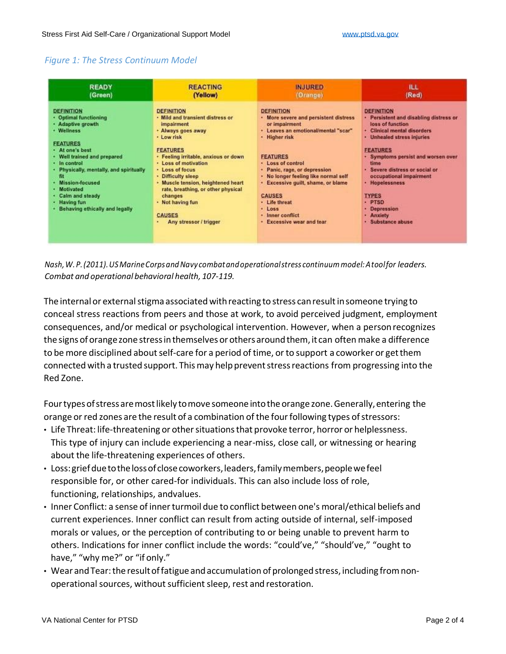### *Figure 1: The Stress Continuum Model*

| <b>READY</b>                                                                                                                                                                                                                                                                                                                             | <b>REACTING</b>                                                                                                                                                                                                                                                                                                                                                                                     | <b>INJURED</b>                                                                                                                                                                                                                                                                                                                                                                              | <b>ILL</b>                                                                                                                                                                                                                                                                                                                                                                        |
|------------------------------------------------------------------------------------------------------------------------------------------------------------------------------------------------------------------------------------------------------------------------------------------------------------------------------------------|-----------------------------------------------------------------------------------------------------------------------------------------------------------------------------------------------------------------------------------------------------------------------------------------------------------------------------------------------------------------------------------------------------|---------------------------------------------------------------------------------------------------------------------------------------------------------------------------------------------------------------------------------------------------------------------------------------------------------------------------------------------------------------------------------------------|-----------------------------------------------------------------------------------------------------------------------------------------------------------------------------------------------------------------------------------------------------------------------------------------------------------------------------------------------------------------------------------|
| (Green)                                                                                                                                                                                                                                                                                                                                  | (Yellow)                                                                                                                                                                                                                                                                                                                                                                                            | (Orange)                                                                                                                                                                                                                                                                                                                                                                                    | (Red)                                                                                                                                                                                                                                                                                                                                                                             |
| <b>DEFINITION</b><br>• Optimal functioning<br>· Adaptive growth<br>· Wellness<br><b>FEATURES</b><br>· At one's best<br>Well trained and prepared<br>· In control<br>Physically, mentally, and spiritually<br>fit<br><b>Mission-focused</b><br><b>Motivated</b><br>Calm and steady<br><b>Having fun</b><br>Behaving ethically and legally | <b>DEFINITION</b><br>· Mild and transient distress or<br><i>impairment</i><br>· Always goes away<br>· Low risk<br><b>FEATURES</b><br>· Feeling irritable, anxious or down<br>· Loss of motivation<br>· Loss of focus<br><b>Difficulty sleep</b><br>Muscle tension, heightened heart<br>rate, breathing, or other physical<br>changes<br>· Not having fun<br><b>CAUSES</b><br>Any stressor / trigger | <b>DEFINITION</b><br>. More severe and persistent distress<br>or impairment<br>· Leaves an emotional/mental "scar"<br>· Higher risk<br><b>FEATURES</b><br>· Loss of control<br>· Panic, rage, or depression<br>. No longer feeling like normal self<br><b>Excessive guilt, shame, or blame</b><br><b>CAUSES</b><br>· Life threat<br>* Loss<br>· Inner conflict<br>· Excessive wear and tear | <b>DEFINITION</b><br>· Persistent and disabling distress or<br>loss of function<br><b>Clinical mental disorders</b><br><b>Unhealed stress injuries</b><br><b>FEATURES</b><br>Symptoms persist and worsen over<br>time<br>Severe distress or social or<br>occupational impairment<br>· Hopelessness<br><b>TYPES</b><br>· PTSD<br><b>Depression</b><br>· Anxiety<br>Substance abuse |

*Nash,W.P.(2011).USMarineCorpsandNavy combatandoperationalstress continuummodel:Atoolfor leaders. Combat and operational behavioral health, 107-119.*

The internal or external stigma associated with reacting to stress can result in someone trying to conceal stress reactions from peers and those at work, to avoid perceived judgment, employment consequences, and/or medical or psychological intervention. However, when a personrecognizes the signs of orange zone stress in themselves or others around them, it can often make a difference to be more disciplined about self-care for a period of time, or to support a coworker or get them connected with a trusted support. This may help prevent stress reactions from progressing into the Red Zone.

Four types of stress are most likely to move someone into the orange zone. Generally, entering the orange or red zones are the result of a combination of the four following types of stressors:

- Life Threat: life-threatening or other situations that provoke terror, horror or helplessness. This type of injury can include experiencing a near-miss, close call, or witnessing or hearing about the life-threatening experiences of others.
- Loss:griefduetothelossof closecoworkers,leaders,familymembers,peoplewefeel responsible for, or other cared-for individuals. This can also include loss of role, functioning, relationships, andvalues.
- Inner Conflict: a sense of inner turmoil due to conflict between one's moral/ethical beliefs and current experiences. Inner conflict can result from acting outside of internal, self-imposed morals or values, or the perception of contributing to or being unable to prevent harm to others. Indications for inner conflict include the words: "could've," "should've," "ought to have," "why me?" or "if only."
- Wear and Tear: the result of fatigue and accumulation of prolonged stress, including from nonoperational sources, without sufficient sleep, rest and restoration.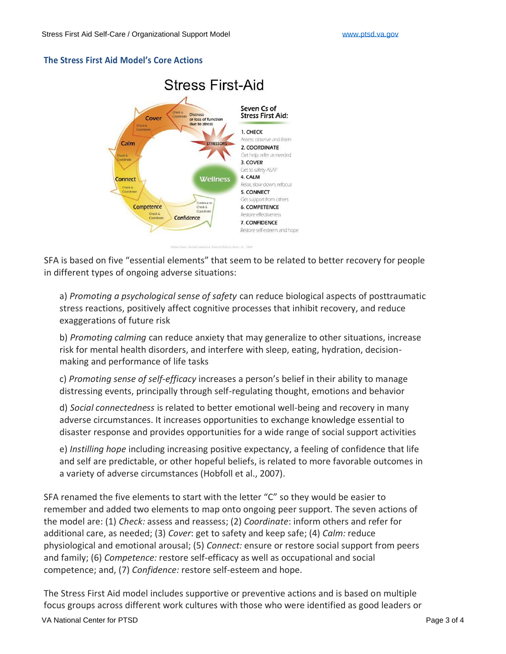#### **The Stress First Aid Model's Core Actions**



SFA is based on five "essential elements" that seem to be related to better recovery for people in different types of ongoing adverse situations:

a) *Promoting a psychological sense of safety* can reduce biological aspects of posttraumatic stress reactions, positively affect cognitive processes that inhibit recovery, and reduce exaggerations of future risk

b) *Promoting calming* can reduce anxiety that may generalize to other situations, increase risk for mental health disorders, and interfere with sleep, eating, hydration, decisionmaking and performance of life tasks

c) *Promoting sense of self-efficacy* increases a person's belief in their ability to manage distressing events, principally through self-regulating thought, emotions and behavior

d) *Social connectedness* is related to better emotional well-being and recovery in many adverse circumstances. It increases opportunities to exchange knowledge essential to disaster response and provides opportunities for a wide range of social support activities

e) *Instilling hope* including increasing positive expectancy, a feeling of confidence that life and self are predictable, or other hopeful beliefs, is related to more favorable outcomes in a variety of adverse circumstances (Hobfoll et al., 2007).

SFA renamed the five elements to start with the letter "C" so they would be easier to remember and added two elements to map onto ongoing peer support. The seven actions of the model are: (1) *Check:* assess and reassess; (2) *Coordinate*: inform others and refer for additional care, as needed; (3) *Cover*: get to safety and keep safe; (4) *Calm:* reduce physiological and emotional arousal; (5) *Connect:* ensure or restore social support from peers and family; (6) *Competence:* restore self-efficacy as well as occupational and social competence; and, (7) *Confidence:* restore self-esteem and hope.

The Stress First Aid model includes supportive or preventive actions and is based on multiple focus groups across different work cultures with those who were identified as good leaders or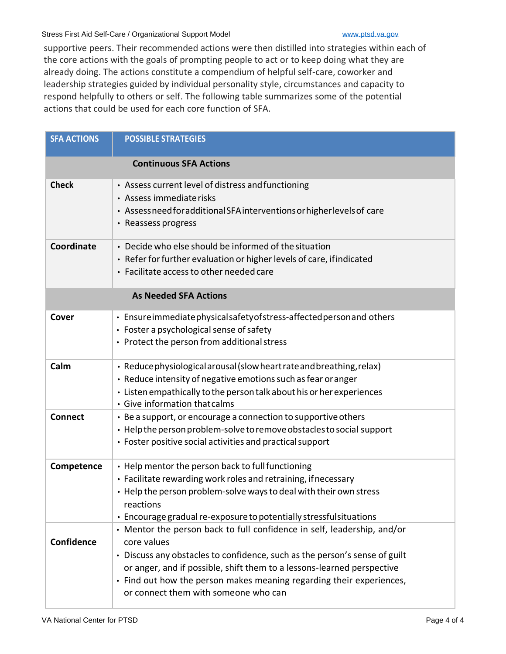#### Stress First Aid Self-Care / Organizational Support Model WWW.ptsd.va.gov

supportive peers. Their recommended actions were then distilled into strategies within each of the core actions with the goals of prompting people to act or to keep doing what they are already doing. The actions constitute a compendium of helpful self-care, coworker and leadership strategies guided by individual personality style, circumstances and capacity to respond helpfully to others or self. The following table summarizes some of the potential actions that could be used for each core function of SFA.

| <b>SFA ACTIONS</b>            | <b>POSSIBLE STRATEGIES</b>                                                                                                                                                                                                                                                                                                                                     |  |
|-------------------------------|----------------------------------------------------------------------------------------------------------------------------------------------------------------------------------------------------------------------------------------------------------------------------------------------------------------------------------------------------------------|--|
| <b>Continuous SFA Actions</b> |                                                                                                                                                                                                                                                                                                                                                                |  |
| <b>Check</b>                  | • Assess current level of distress and functioning<br>• Assess immediate risks<br>• Assessneed for additional SFA interventions or higher levels of care<br>• Reassess progress                                                                                                                                                                                |  |
| Coordinate                    | • Decide who else should be informed of the situation<br>• Refer for further evaluation or higher levels of care, if indicated<br>• Facilitate access to other needed care                                                                                                                                                                                     |  |
| <b>As Needed SFA Actions</b>  |                                                                                                                                                                                                                                                                                                                                                                |  |
| Cover                         | • Ensure immediate physical safety of stress-affected person and others<br>• Foster a psychological sense of safety<br>• Protect the person from additional stress                                                                                                                                                                                             |  |
| Calm                          | • Reduce physiological arousal (slow heart rate and breathing, relax)<br>• Reduce intensity of negative emotions such as fear or anger<br>• Listen empathically to the person talk about his or her experiences<br>• Give information that calms                                                                                                               |  |
| <b>Connect</b>                | • Be a support, or encourage a connection to supportive others<br>• Help the person problem-solve to remove obstacles to social support<br>• Foster positive social activities and practical support                                                                                                                                                           |  |
| Competence                    | • Help mentor the person back to full functioning<br>• Facilitate rewarding work roles and retraining, if necessary<br>• Help the person problem-solve ways to deal with their own stress<br>reactions<br>• Encourage gradual re-exposure to potentially stressfulsituations                                                                                   |  |
| Confidence                    | • Mentor the person back to full confidence in self, leadership, and/or<br>core values<br>• Discuss any obstacles to confidence, such as the person's sense of guilt<br>or anger, and if possible, shift them to a lessons-learned perspective<br>• Find out how the person makes meaning regarding their experiences,<br>or connect them with someone who can |  |